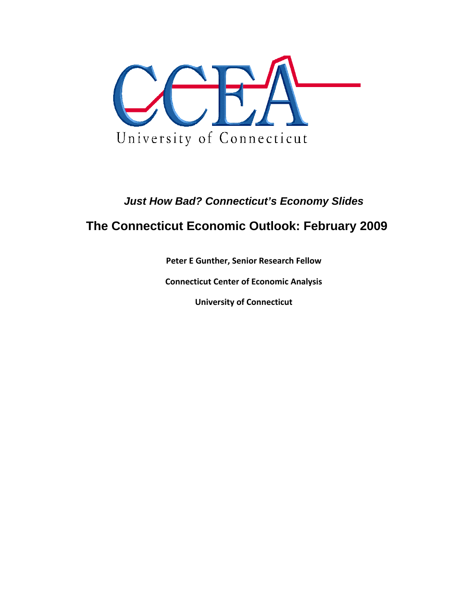

# *Just How Bad? Connecticut's Economy Slides*

# **The Connecticut Economic Outlook: February 2009**

**Peter E Gunther, Senior Research Fellow**

**Connecticut Center of Economic Analysis**

**University of Connecticut**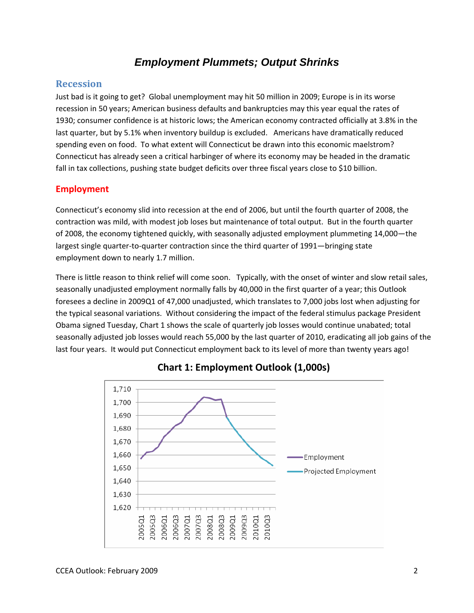# *Employment Plummets; Output Shrinks*

#### **Recession**

Just bad is it going to get? Global unemployment may hit 50 million in 2009; Europe is in its worse recession in 50 years; American business defaults and bankruptcies may this year equal the rates of 1930; consumer confidence is at historic lows; the American economy contracted officially at 3.8% in the last quarter, but by 5.1% when inventory buildup is excluded. Americans have dramatically reduced spending even on food. To what extent will Connecticut be drawn into this economic maelstrom? Connecticut has already seen a critical harbinger of where its economy may be headed in the dramatic fall in tax collections, pushing state budget deficits over three fiscal years close to \$10 billion.

#### **Employment**

Connecticut's economy slid into recession at the end of 2006, but until the fourth quarter of 2008, the contraction was mild, with modest job loses but maintenance of total output. But in the fourth quarter of 2008, the economy tightened quickly, with seasonally adjusted employment plummeting 14,000—the largest single quarter‐to‐quarter contraction since the third quarter of 1991—bringing state employment down to nearly 1.7 million.

There is little reason to think relief will come soon. Typically, with the onset of winter and slow retail sales, seasonally unadjusted employment normally falls by 40,000 in the first quarter of a year; this Outlook foresees a decline in 2009Q1 of 47,000 unadjusted, which translates to 7,000 jobs lost when adjusting for the typical seasonal variations. Without considering the impact of the federal stimulus package President Obama signed Tuesday, Chart 1 shows the scale of quarterly job losses would continue unabated; total seasonally adjusted job losses would reach 55,000 by the last quarter of 2010, eradicating all job gains of the last four years. It would put Connecticut employment back to its level of more than twenty years ago!



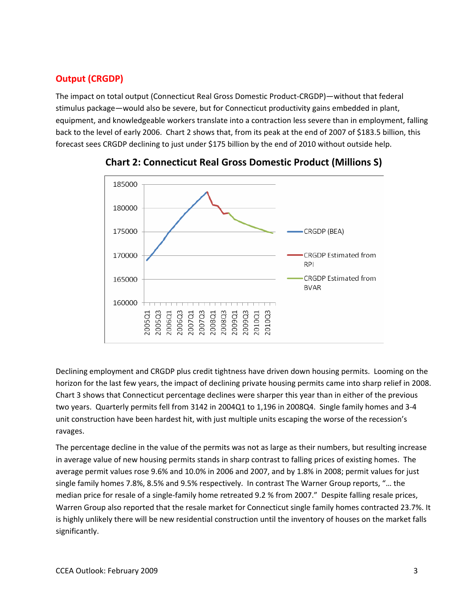## **Output (CRGDP)**

The impact on total output (Connecticut Real Gross Domestic Product‐CRGDP)—without that federal stimulus package—would also be severe, but for Connecticut productivity gains embedded in plant, equipment, and knowledgeable workers translate into a contraction less severe than in employment, falling back to the level of early 2006. Chart 2 shows that, from its peak at the end of 2007 of \$183.5 billion, this forecast sees CRGDP declining to just under \$175 billion by the end of 2010 without outside help.





Declining employment and CRGDP plus credit tightness have driven down housing permits. Looming on the horizon for the last few years, the impact of declining private housing permits came into sharp relief in 2008. Chart 3 shows that Connecticut percentage declines were sharper this year than in either of the previous two years. Quarterly permits fell from 3142 in 2004Q1 to 1,196 in 2008Q4. Single family homes and 3‐4 unit construction have been hardest hit, with just multiple units escaping the worse of the recession's ravages.

The percentage decline in the value of the permits was not as large as their numbers, but resulting increase in average value of new housing permits stands in sharp contrast to falling prices of existing homes. The average permit values rose 9.6% and 10.0% in 2006 and 2007, and by 1.8% in 2008; permit values for just single family homes 7.8%, 8.5% and 9.5% respectively. In contrast The Warner Group reports, "… the median price for resale of a single-family home retreated 9.2 % from 2007." Despite falling resale prices, Warren Group also reported that the resale market for Connecticut single family homes contracted 23.7%. It is highly unlikely there will be new residential construction until the inventory of houses on the market falls significantly.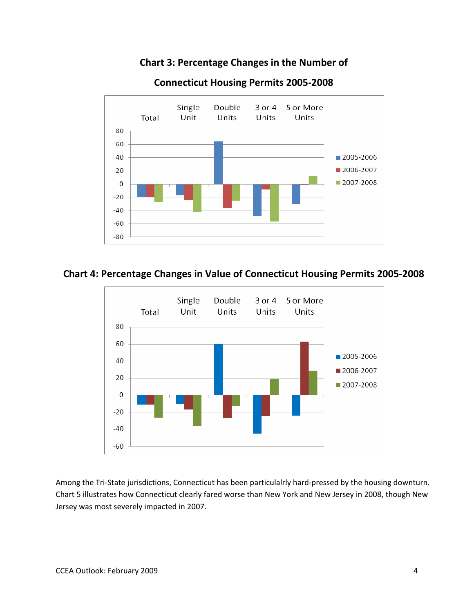### **Chart 3: Percentage Changes in the Number of**



#### **Connecticut Housing Permits 2005‐2008**

#### **Chart 4: Percentage Changes in Value of Connecticut Housing Permits 2005‐2008**



Among the Tri-State jurisdictions, Connecticut has been particulalrly hard-pressed by the housing downturn. Chart 5 illustrates how Connecticut clearly fared worse than New York and New Jersey in 2008, though New Jersey was most severely impacted in 2007.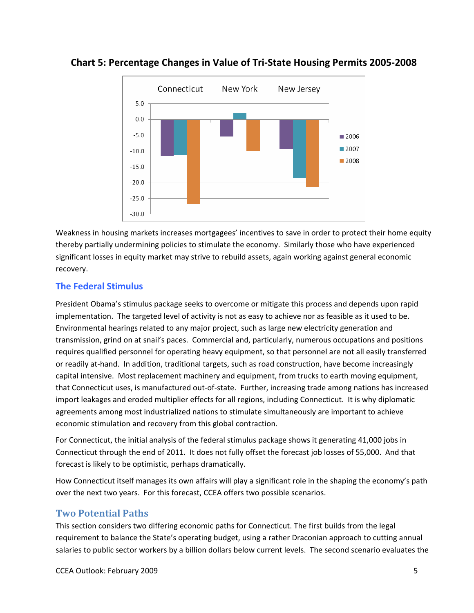



Weakness in housing markets increases mortgagees' incentives to save in order to protect their home equity thereby partially undermining policies to stimulate the economy. Similarly those who have experienced significant losses in equity market may strive to rebuild assets, again working against general economic recovery.

#### **The Federal Stimulus**

President Obama's stimulus package seeks to overcome or mitigate this process and depends upon rapid implementation. The targeted level of activity is not as easy to achieve nor as feasible as it used to be. Environmental hearings related to any major project, such as large new electricity generation and transmission, grind on at snail's paces. Commercial and, particularly, numerous occupations and positions requires qualified personnel for operating heavy equipment, so that personnel are not all easily transferred or readily at‐hand. In addition, traditional targets, such as road construction, have become increasingly capital intensive. Most replacement machinery and equipment, from trucks to earth moving equipment, that Connecticut uses, is manufactured out‐of‐state. Further, increasing trade among nations has increased import leakages and eroded multiplier effects for all regions, including Connecticut. It is why diplomatic agreements among most industrialized nations to stimulate simultaneously are important to achieve economic stimulation and recovery from this global contraction.

For Connecticut, the initial analysis of the federal stimulus package shows it generating 41,000 jobs in Connecticut through the end of 2011. It does not fully offset the forecast job losses of 55,000. And that forecast is likely to be optimistic, perhaps dramatically.

How Connecticut itself manages its own affairs will play a significant role in the shaping the economy's path over the next two years. For this forecast, CCEA offers two possible scenarios.

#### **Two Potential Paths**

This section considers two differing economic paths for Connecticut. The first builds from the legal requirement to balance the State's operating budget, using a rather Draconian approach to cutting annual salaries to public sector workers by a billion dollars below current levels. The second scenario evaluates the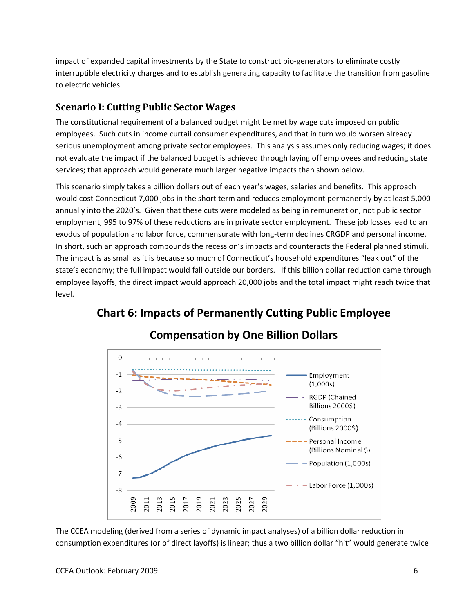impact of expanded capital investments by the State to construct bio‐generators to eliminate costly interruptible electricity charges and to establish generating capacity to facilitate the transition from gasoline to electric vehicles.

### **Scenario I: Cutting Public Sector Wages**

The constitutional requirement of a balanced budget might be met by wage cuts imposed on public employees. Such cuts in income curtail consumer expenditures, and that in turn would worsen already serious unemployment among private sector employees. This analysis assumes only reducing wages; it does not evaluate the impact if the balanced budget is achieved through laying off employees and reducing state services; that approach would generate much larger negative impacts than shown below.

This scenario simply takes a billion dollars out of each year's wages, salaries and benefits. This approach would cost Connecticut 7,000 jobs in the short term and reduces employment permanently by at least 5,000 annually into the 2020's. Given that these cuts were modeled as being in remuneration, not public sector employment, 995 to 97% of these reductions are in private sector employment. These job losses lead to an exodus of population and labor force, commensurate with long-term declines CRGDP and personal income. In short, such an approach compounds the recession's impacts and counteracts the Federal planned stimuli. The impact is as small as it is because so much of Connecticut's household expenditures "leak out" of the state's economy; the full impact would fall outside our borders. If this billion dollar reduction came through employee layoffs, the direct impact would approach 20,000 jobs and the total impact might reach twice that level.



# **Chart 6: Impacts of Permanently Cutting Public Employee**

The CCEA modeling (derived from a series of dynamic impact analyses) of a billion dollar reduction in consumption expenditures (or of direct layoffs) is linear; thus a two billion dollar "hit" would generate twice

#### CCEA Outlook: February 2009 6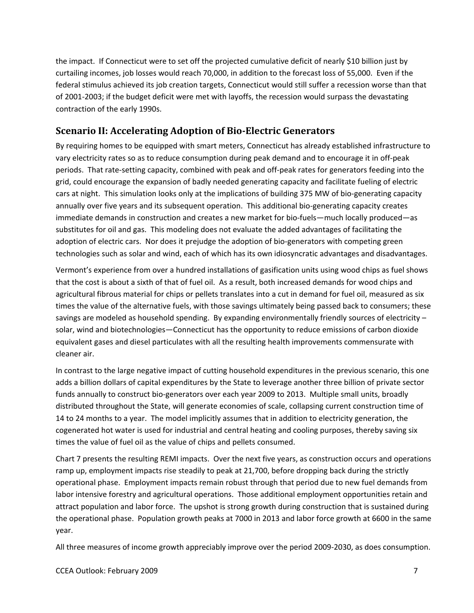the impact. If Connecticut were to set off the projected cumulative deficit of nearly \$10 billion just by curtailing incomes, job losses would reach 70,000, in addition to the forecast loss of 55,000. Even if the federal stimulus achieved its job creation targets, Connecticut would still suffer a recession worse than that of 2001‐2003; if the budget deficit were met with layoffs, the recession would surpass the devastating contraction of the early 1990s.

## **Scenario II: Accelerating Adoption of BioElectric Generators**

By requiring homes to be equipped with smart meters, Connecticut has already established infrastructure to vary electricity rates so as to reduce consumption during peak demand and to encourage it in off‐peak periods. That rate‐setting capacity, combined with peak and off‐peak rates for generators feeding into the grid, could encourage the expansion of badly needed generating capacity and facilitate fueling of electric cars at night. This simulation looks only at the implications of building 375 MW of bio‐generating capacity annually over five years and its subsequent operation. This additional bio‐generating capacity creates immediate demands in construction and creates a new market for bio-fuels—much locally produced—as substitutes for oil and gas. This modeling does not evaluate the added advantages of facilitating the adoption of electric cars. Nor does it prejudge the adoption of bio-generators with competing green technologies such as solar and wind, each of which has its own idiosyncratic advantages and disadvantages.

Vermont's experience from over a hundred installations of gasification units using wood chips as fuel shows that the cost is about a sixth of that of fuel oil. As a result, both increased demands for wood chips and agricultural fibrous material for chips or pellets translates into a cut in demand for fuel oil, measured as six times the value of the alternative fuels, with those savings ultimately being passed back to consumers; these savings are modeled as household spending. By expanding environmentally friendly sources of electricity solar, wind and biotechnologies—Connecticut has the opportunity to reduce emissions of carbon dioxide equivalent gases and diesel particulates with all the resulting health improvements commensurate with cleaner air.

In contrast to the large negative impact of cutting household expenditures in the previous scenario, this one adds a billion dollars of capital expenditures by the State to leverage another three billion of private sector funds annually to construct bio‐generators over each year 2009 to 2013. Multiple small units, broadly distributed throughout the State, will generate economies of scale, collapsing current construction time of 14 to 24 months to a year. The model implicitly assumes that in addition to electricity generation, the cogenerated hot water is used for industrial and central heating and cooling purposes, thereby saving six times the value of fuel oil as the value of chips and pellets consumed.

Chart 7 presents the resulting REMI impacts. Over the next five years, as construction occurs and operations ramp up, employment impacts rise steadily to peak at 21,700, before dropping back during the strictly operational phase. Employment impacts remain robust through that period due to new fuel demands from labor intensive forestry and agricultural operations. Those additional employment opportunities retain and attract population and labor force. The upshot is strong growth during construction that is sustained during the operational phase. Population growth peaks at 7000 in 2013 and labor force growth at 6600 in the same year.

All three measures of income growth appreciably improve over the period 2009‐2030, as does consumption.